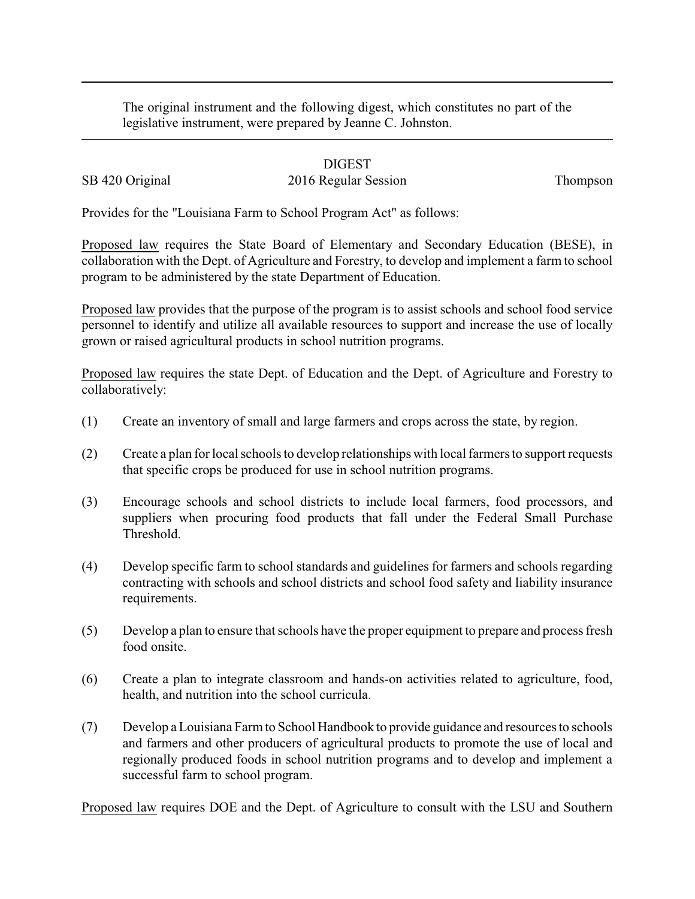The original instrument and the following digest, which constitutes no part of the legislative instrument, were prepared by Jeanne C. Johnston.

## DIGEST

## SB 420 Original 2016 Regular Session Thompson

Provides for the "Louisiana Farm to School Program Act" as follows:

Proposed law requires the State Board of Elementary and Secondary Education (BESE), in collaboration with the Dept. of Agriculture and Forestry, to develop and implement a farm to school program to be administered by the state Department of Education.

Proposed law provides that the purpose of the program is to assist schools and school food service personnel to identify and utilize all available resources to support and increase the use of locally grown or raised agricultural products in school nutrition programs.

Proposed law requires the state Dept. of Education and the Dept. of Agriculture and Forestry to collaboratively:

- (1) Create an inventory of small and large farmers and crops across the state, by region.
- (2) Create a plan for local schools to develop relationships with local farmers to support requests that specific crops be produced for use in school nutrition programs.
- (3) Encourage schools and school districts to include local farmers, food processors, and suppliers when procuring food products that fall under the Federal Small Purchase Threshold.
- (4) Develop specific farm to school standards and guidelines for farmers and schools regarding contracting with schools and school districts and school food safety and liability insurance requirements.
- (5) Develop a plan to ensure that schools have the proper equipment to prepare and process fresh food onsite.
- (6) Create a plan to integrate classroom and hands-on activities related to agriculture, food, health, and nutrition into the school curricula.
- (7) Develop a Louisiana Farm to School Handbook to provide guidance and resources to schools and farmers and other producers of agricultural products to promote the use of local and regionally produced foods in school nutrition programs and to develop and implement a successful farm to school program.

Proposed law requires DOE and the Dept. of Agriculture to consult with the LSU and Southern